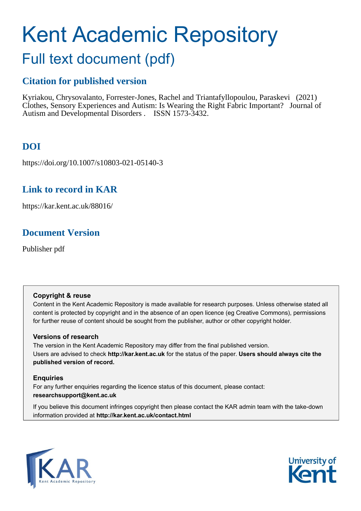# Kent Academic Repository

## Full text document (pdf)

## **Citation for published version**

Kyriakou, Chrysovalanto, Forrester-Jones, Rachel and Triantafyllopoulou, Paraskevi (2021) Clothes, Sensory Experiences and Autism: Is Wearing the Right Fabric Important? Journal of Autism and Developmental Disorders . ISSN 1573-3432.

## **DOI**

https://doi.org/10.1007/s10803-021-05140-3

## **Link to record in KAR**

https://kar.kent.ac.uk/88016/

## **Document Version**

Publisher pdf

#### **Copyright & reuse**

Content in the Kent Academic Repository is made available for research purposes. Unless otherwise stated all content is protected by copyright and in the absence of an open licence (eg Creative Commons), permissions for further reuse of content should be sought from the publisher, author or other copyright holder.

#### **Versions of research**

The version in the Kent Academic Repository may differ from the final published version. Users are advised to check **http://kar.kent.ac.uk** for the status of the paper. **Users should always cite the published version of record.**

#### **Enquiries**

For any further enquiries regarding the licence status of this document, please contact: **researchsupport@kent.ac.uk**

If you believe this document infringes copyright then please contact the KAR admin team with the take-down information provided at **http://kar.kent.ac.uk/contact.html**



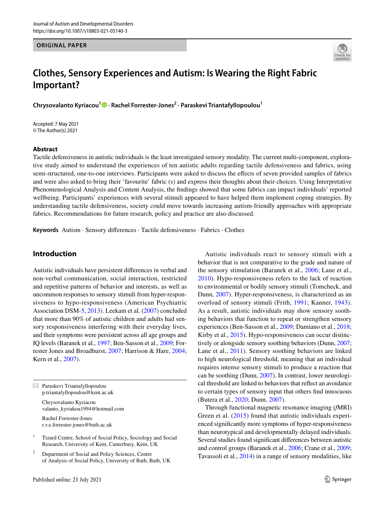#### **ORIGINAL PAPER**



### **Clothes, Sensory Experiences and Autism: Is Wearing the Right Fabric Important?**

**Chrysovalanto Kyriacou1  [·](http://orcid.org/0000-0002-8026-3200) Rachel Forrester‑Jones2 · Paraskevi Triantafyllopoulou1**

Accepted: 7 May 2021 © The Author(s) 2021

#### **Abstract**

Tactile defensiveness in autistic individuals is the least investigated sensory modality. The current multi-component, explorative study aimed to understand the experiences of ten autistic adults regarding tactile defensiveness and fabrics, using semi-structured, one-to-one interviews. Participants were asked to discuss the efects of seven provided samples of fabrics and were also asked to bring their 'favourite' fabric (s) and express their thoughts about their choices. Using Interpretative Phenomenological Analysis and Content Analysis, the fndings showed that some fabrics can impact individuals' reported wellbeing. Participants' experiences with several stimuli appeared to have helped them implement coping strategies. By understanding tactile defensiveness, society could move towards increasing autism-friendly approaches with appropriate fabrics. Recommendations for future research, policy and practice are also discussed.

**Keywords** Autism · Sensory diferences · Tactile defensiveness · Fabrics · Clothes

#### **Introduction**

Autistic individuals have persistent diferences in verbal and non-verbal communication, social interaction, restricted and repetitive patterns of behavior and interests, as well as uncommon responses to sensory stimuli from hyper-responsiveness to hypo-responsiveness (American Psychiatric Association DSM-5, 2013). Leekam et al. (2007) concluded that more than 90% of autistic children and adults had sensory responsiveness interfering with their everyday lives, and their symptoms were persistent across all age groups and IQ levels (Baranek et al., 1997; Ben-Sasson et al., 2009; Forrester Jones and Broadhurst, 2007; Harrison & Hare, 2004; Kern et al., 2007).

 $\boxtimes$  Paraskevi Triantafyllopoulou p.triantafyllopoulou@kent.ac.uk

> Chrysovalanto Kyriacou valanto\_kyriakou1994@hotmail.com

Rachel Forrester-Jones r.v.e.forrester-jones@bath.ac.uk

<sup>1</sup> Tizard Centre, School of Social Policy, Sociology and Social Research, University of Kent, Canterbury, Kent, UK

<sup>2</sup> Department of Social and Policy Sciences, Centre of Analysis of Social Policy, University of Bath, Bath, UK

Autistic individuals react to sensory stimuli with a behavior that is not comparative to the grade and nature of the sensory stimulation (Baranek et al., 2006; Lane et al., 2010). Hypo-responsiveness refers to the lack of reaction to environmental or bodily sensory stimuli (Tomcheck, and Dunn, 2007). Hyper-responsiveness, is characterized as an overload of sensory stimuli (Frith, 1991; Kanner, 1943). As a result, autistic individuals may show sensory soothing behaviors that function to repeat or strengthen sensory experiences (Ben-Sasson et al., 2009; Damiano et al., 2018; Kirby et al., 2015). Hypo-responsiveness can occur distinctively or alongside sensory soothing behaviors (Dunn, 2007; Lane et al., 2011). Sensory soothing behaviors are linked to high neurological threshold, meaning that an individual requires intense sensory stimuli to produce a reaction that can be soothing (Dunn, 2007). In contrast, lower neurological threshold are linked to behaviors that refect an avoidance to certain types of sensory input that others fnd innocuous (Butera et al., 2020; Dunn, 2007).

Through functional magnetic resonance imaging (*f*MRI) Green et al. (2015) found that autistic individuals experienced signifcantly more symptoms of hyper-responsiveness than neurotypical and developmentally delayed individuals. Several studies found signifcant diferences between autistic and control groups (Baranek et al., 2006; Crane et al., 2009; Tavassoli et al., 2014) in a range of sensory modalities, like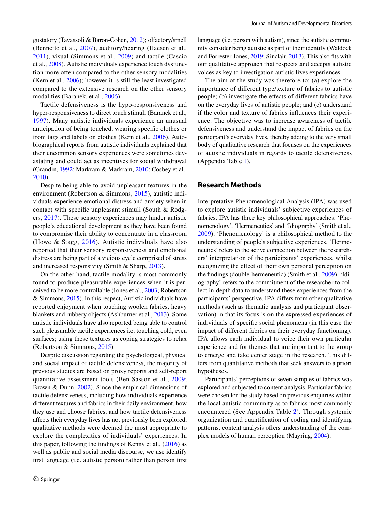gustatory (Tavassoli & Baron-Cohen, 2012); olfactory/smell (Bennetto et al., 2007), auditory/hearing (Haesen et al., 2011), visual (Simmons et al., 2009) and tactile (Cascio et al., 2008). Autistic individuals experience touch dysfunction more often compared to the other sensory modalities (Kern et al., 2006); however it is still the least investigated compared to the extensive research on the other sensory modalities (Baranek, et al., 2006).

Tactile defensiveness is the hypo-responsiveness and hyper-responsiveness to direct touch stimuli (Baranek et al., 1997). Many autistic individuals experience an unusual anticipation of being touched, wearing specifc clothes or from tags and labels on clothes (Kern et al., 2006). Autobiographical reports from autistic individuals explained that their uncommon sensory experiences were sometimes devastating and could act as incentives for social withdrawal (Grandin, 1992; Markram & Markram, 2010; Cosbey et al., 2010).

Despite being able to avoid unpleasant textures in the environment (Robertson & Simmons, 2015), autistic individuals experience emotional distress and anxiety when in contact with specifc unpleasant stimuli (South & Rodgers, 2017). These sensory experiences may hinder autistic people's educational development as they have been found to compromise their ability to concentrate in a classroom (Howe & Stagg, 2016). Autistic individuals have also reported that their sensory responsiveness and emotional distress are being part of a vicious cycle comprised of stress and increased responsivity (Smith & Sharp, 2013).

On the other hand, tactile modality is most commonly found to produce pleasurable experiences when it is perceived to be more controllable (Jones et al., 2003; Robertson & Simmons, 2015). In this respect, Autistic individuals have reported enjoyment when touching woolen fabrics, heavy blankets and rubbery objects (Ashburner et al., 2013). Some autistic individuals have also reported being able to control such pleasurable tactile experiences i.e. touching cold, even surfaces; using these textures as coping strategies to relax (Robertson & Simmons, 2015).

Despite discussion regarding the psychological, physical and social impact of tactile defensiveness, the majority of previous studies are based on proxy reports and self-report quantitative assessment tools (Ben-Sasson et al., 2009; Brown & Dunn, 2002). Since the empirical dimensions of tactile defensiveness, including how individuals experience diferent textures and fabrics in their daily environment, how they use and choose fabrics, and how tactile defensiveness afects their everyday lives has not previously been explored, qualitative methods were deemed the most appropriate to explore the complexities of individuals' experiences. In this paper, following the fndings of Kenny et al., (2016) as well as public and social media discourse, we use identify frst language (i.e. autistic person) rather than person frst language (i.e. person with autism), since the autistic community consider being autistic as part of their identify (Waldock and Forrester-Jones, 2019; Sinclair, 2013). This also fts with our qualitative approach that respects and accepts autistic voices as key to investigation autistic lives experiences.

The aim of the study was therefore to: (a) explore the importance of diferent type/texture of fabrics to autistic people; (b) investigate the efects of diferent fabrics have on the everyday lives of autistic people; and (c) understand if the color and texture of fabrics infuences their experience. The objective was to increase awareness of tactile defensiveness and understand the impact of fabrics on the participant's everyday lives, thereby adding to the very small body of qualitative research that focuses on the experiences of autistic individuals in regards to tactile defensiveness (Appendix Table 1).

#### **Research Methods**

Interpretative Phenomenological Analysis (IPA) was used to explore autistic individuals' subjective experiences of fabrics. IPA has three key philosophical approaches: 'Phenomenology', 'Hermeneutics' and 'Idiography' (Smith et al., 2009). 'Phenomenology' is a philosophical method to the understanding of people's subjective experiences. 'Hermeneutics' refers to the active connection between the researchers' interpretation of the participants' experiences, whilst recognizing the efect of their own personal perception on the fndings (double-hermeneutic) (Smith et al., 2009). 'Idiography' refers to the commitment of the researcher to collect in-depth data to understand these experiences from the participants' perspective. IPA difers from other qualitative methods (such as thematic analysis and participant observation) in that its focus is on the expressed experiences of individuals of specifc social phenomena (in this case the impact of diferent fabrics on their everyday functioning). IPA allows each individual to voice their own particular experience and for themes that are important to the group to emerge and take center stage in the research. This differs from quantitative methods that seek answers to a priori hypotheses.

Participants' perceptions of seven samples of fabrics was explored and subjected to content analysis. Particular fabrics were chosen for the study based on previous enquiries within the local autistic community as to fabrics most commonly encountered (See Appendix Table 2). Through systemic organization and quantifcation of coding and identifying patterns, content analysis offers understanding of the complex models of human perception (Mayring, 2004).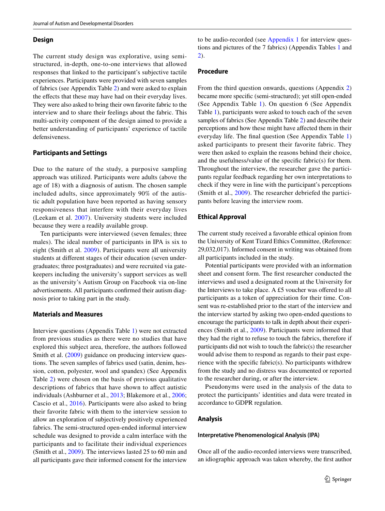#### **Design**

The current study design was explorative, using semistructured, in-depth, one-to-one interviews that allowed responses that linked to the participant's subjective tactile experiences. Participants were provided with seven samples of fabrics (see Appendix Table 2) and were asked to explain the effects that these may have had on their everyday lives. They were also asked to bring their own favorite fabric to the interview and to share their feelings about the fabric. This multi-activity component of the design aimed to provide a better understanding of participants' experience of tactile defensiveness.

#### **Participants and Settings**

Due to the nature of the study, a purposive sampling approach was utilized. Participants were adults (above the age of 18) with a diagnosis of autism. The chosen sample included adults, since approximately 90% of the autistic adult population have been reported as having sensory responsiveness that interfere with their everyday lives (Leekam et al. 2007). University students were included because they were a readily available group.

Ten participants were interviewed (seven females; three males). The ideal number of participants in IPA is six to eight (Smith et al. 2009). Participants were all university students at diferent stages of their education (seven undergraduates; three postgraduates) and were recruited via gatekeepers including the university's support services as well as the university's Autism Group on Facebook via on-line advertisements. All participants confrmed their autism diagnosis prior to taking part in the study.

#### **Materials and Measures**

Interview questions (Appendix Table 1) were not extracted from previous studies as there were no studies that have explored this subject area, therefore, the authors followed Smith et al. (2009) guidance on producing interview questions. The seven samples of fabrics used (satin, denim, hession, cotton, polyester, wool and spandex) (See Appendix Table 2) were chosen on the basis of previous qualitative descriptions of fabrics that have shown to afect autistic individuals (Ashburner et al., 2013; Blakemore et al., 2006; Cascio et al., 2016). Participants were also asked to bring their favorite fabric with them to the interview session to allow an exploration of subjectively positively experienced fabrics. The semi-structured open-ended informal interview schedule was designed to provide a calm interface with the participants and to facilitate their individual experiences (Smith et al., 2009). The interviews lasted 25 to 60 min and all participants gave their informed consent for the interview

#### **Procedure**

From the third question onwards, questions (Appendix 2) became more specifc (semi-structured); yet still open-ended (See Appendix Table 1). On question 6 (See Appendix Table 1), participants were asked to touch each of the seven samples of fabrics (See Appendix Table 2) and describe their perceptions and how these might have afected them in their everyday life. The fnal question (See Appendix Table 1) asked participants to present their favorite fabric. They were then asked to explain the reasons behind their choice, and the usefulness/value of the specifc fabric(s) for them. Throughout the interview, the researcher gave the participants regular feedback regarding her own interpretations to check if they were in line with the participant's perceptions (Smith et al., 2009). The researcher debriefed the participants before leaving the interview room.

#### **Ethical Approval**

The current study received a favorable ethical opinion from the University of Kent Tizard Ethics Committee, (Reference: 29,032,017). Informed consent in writing was obtained from all participants included in the study.

Potential participants were provided with an information sheet and consent form. The frst researcher conducted the interviews and used a designated room at the University for the Interviews to take place. A £5 voucher was ofered to all participants as a token of appreciation for their time. Consent was re-established prior to the start of the interview and the interview started by asking two open-ended questions to encourage the participants to talk in depth about their experiences (Smith et al., 2009). Participants were informed that they had the right to refuse to touch the fabrics, therefore if participants did not wish to touch the fabric(s) the researcher would advise them to respond as regards to their past experience with the specifc fabric(s). No participants withdrew from the study and no distress was documented or reported to the researcher during, or after the interview.

Pseudonyms were used in the analysis of the data to protect the participants' identities and data were treated in accordance to GDPR regulation.

#### **Analysis**

#### **Interpretative Phenomenological Analysis (IPA)**

Once all of the audio-recorded interviews were transcribed, an idiographic approach was taken whereby, the frst author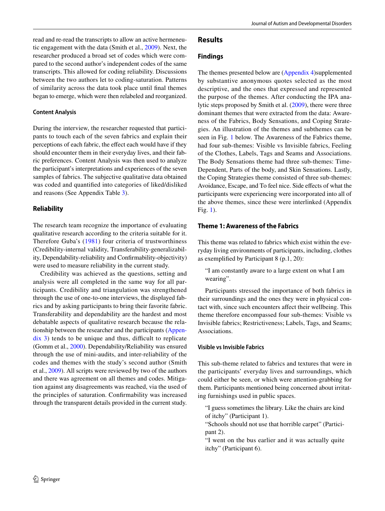read and re-read the transcripts to allow an active hermeneutic engagement with the data (Smith et al., 2009). Next, the researcher produced a broad set of codes which were compared to the second author's independent codes of the same transcripts. This allowed for coding reliability. Discussions between the two authors let to coding-saturation. Patterns of similarity across the data took place until fnal themes began to emerge, which were then relabeled and reorganized.

#### **Content Analysis**

During the interview, the researcher requested that participants to touch each of the seven fabrics and explain their perceptions of each fabric, the effect each would have if they should encounter them in their everyday lives, and their fabric preferences. Content Analysis was then used to analyze the participant's interpretations and experiences of the seven samples of fabrics. The subjective qualitative data obtained was coded and quantifed into categories of liked/disliked and reasons (See Appendix Table 3).

#### **Reliability**

The research team recognize the importance of evaluating qualitative research according to the criteria suitable for it. Therefore Guba's (1981) four criteria of trustworthiness (Credibility-internal validity, Transferability-generalizability, Dependability-reliability and Confrmability-objectivity) were used to measure reliability in the current study.

Credibility was achieved as the questions, setting and analysis were all completed in the same way for all participants. Credibility and triangulation was strengthened through the use of one-to-one interviews, the displayed fabrics and by asking participants to bring their favorite fabric. Transferability and dependability are the hardest and most debatable aspects of qualitative research because the relationship between the researcher and the participants (Appen $d$ ix 3) tends to be unique and thus, difficult to replicate (Gomm et al., 2000). Dependability/Reliability was ensured through the use of mini-audits, and inter-reliability of the codes and themes with the study's second author (Smith et al., 2009). All scripts were reviewed by two of the authors and there was agreement on all themes and codes. Mitigation against any disagreements was reached, via the used of the principles of saturation. Confrmability was increased through the transparent details provided in the current study.

## **Results**

#### **Findings**

The themes presented below are (Appendix 4)supplemented by substantive anonymous quotes selected as the most descriptive, and the ones that expressed and represented the purpose of the themes. After conducting the IPA analytic steps proposed by Smith et al. (2009), there were three dominant themes that were extracted from the data: Awareness of the Fabrics, Body Sensations, and Coping Strategies. An illustration of the themes and subthemes can be seen in Fig. 1 below. The Awareness of the Fabrics theme, had four sub-themes: Visible vs Invisible fabrics, Feeling of the Clothes, Labels, Tags and Seams and Associations. The Body Sensations theme had three sub-themes: Time-Dependent, Parts of the body, and Skin Sensations. Lastly, the Coping Strategies theme consisted of three sub-themes: Avoidance, Escape, and To feel nice. Side effects of what the participants were experiencing were incorporated into all of the above themes, since these were interlinked (Appendix Fig. 1).

#### **Theme 1: Awareness of the Fabrics**

This theme was related to fabrics which exist within the everyday living environments of participants, including, clothes as exemplifed by Participant 8 (p.1, 20):

"I am constantly aware to a large extent on what I am wearing".

Participants stressed the importance of both fabrics in their surroundings and the ones they were in physical contact with, since such encounters afect their wellbeing. This theme therefore encompassed four sub-themes: Visible vs Invisible fabrics; Restrictiveness; Labels, Tags, and Seams; Associations.

#### **Visible vs Invisible Fabrics**

This sub-theme related to fabrics and textures that were in the participants' everyday lives and surroundings, which could either be seen, or which were attention-grabbing for them. Participants mentioned being concerned about irritating furnishings used in public spaces.

"I guess sometimes the library. Like the chairs are kind of itchy" (Participant 1).

"Schools should not use that horrible carpet" (Participant 2).

"I went on the bus earlier and it was actually quite itchy" (Participant 6).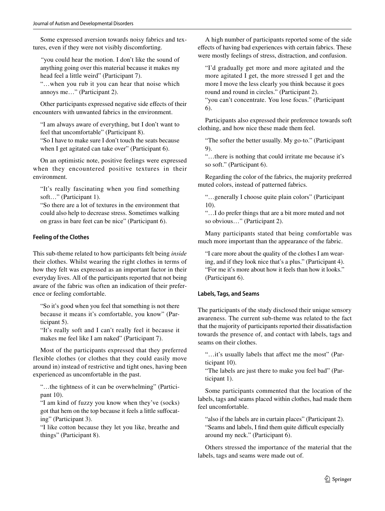Some expressed aversion towards noisy fabrics and textures, even if they were not visibly discomforting.

*"*you could hear the motion. I don't like the sound of anything going over this material because it makes my head feel a little weird" (Participant 7).

"…when you rub it you can hear that noise which annoys me…" (Participant 2).

Other participants expressed negative side efects of their encounters with unwanted fabrics in the environment.

"I am always aware of everything, but I don't want to feel that uncomfortable" (Participant 8).

"So I have to make sure I don't touch the seats because when I get agitated can take over" (Participant 6).

On an optimistic note, positive feelings were expressed when they encountered positive textures in their environment.

"It's really fascinating when you find something soft…" (Participant 1).

"So there are a lot of textures in the environment that could also help to decrease stress. Sometimes walking on grass in bare feet can be nice" (Participant 6).

#### **Feeling of the Clothes**

This sub-theme related to how participants felt being *inside* their clothes. Whilst wearing the right clothes in terms of how they felt was expressed as an important factor in their everyday lives. All of the participants reported that not being aware of the fabric was often an indication of their preference or feeling comfortable.

"So it's good when you feel that something is not there because it means it's comfortable, you know" (Participant 5).

"It's really soft and I can't really feel it because it makes me feel like I am naked" (Participant 7).

Most of the participants expressed that they preferred flexible clothes (or clothes that they could easily move around in) instead of restrictive and tight ones, having been experienced as uncomfortable in the past.

"…the tightness of it can be overwhelming" (Participant 10).

"I am kind of fuzzy you know when they've (socks) got that hem on the top because it feels a little sufocating" (Participant 3).

"I like cotton because they let you like, breathe and things" (Participant 8).

A high number of participants reported some of the side efects of having bad experiences with certain fabrics. These were mostly feelings of stress, distraction, and confusion.

"I'd gradually get more and more agitated and the more agitated I get, the more stressed I get and the more I move the less clearly you think because it goes round and round in circles." (Participant 2).

"you can't concentrate. You lose focus." (Participant 6).

Participants also expressed their preference towards soft clothing, and how nice these made them feel.

"The softer the better usually. My go-to." (Participant 9).

"…there is nothing that could irritate me because it's so soft." (Participant 6).

Regarding the color of the fabrics, the majority preferred muted colors, instead of patterned fabrics.

"…generally I choose quite plain colors" (Participant 10).

"…I do prefer things that are a bit more muted and not so obvious…" (Participant 2).

Many participants stated that being comfortable was much more important than the appearance of the fabric.

"I care more about the quality of the clothes I am wearing, and if they look nice that's a plus." (Participant 4). "For me it's more about how it feels than how it looks." (Participant 6).

#### **Labels, Tags, and Seams**

The participants of the study disclosed their unique sensory awareness. The current sub-theme was related to the fact that the majority of participants reported their dissatisfaction towards the presence of, and contact with labels, tags and seams on their clothes.

"…it's usually labels that afect me the most" (Participant 10).

"The labels are just there to make you feel bad" (Participant 1).

Some participants commented that the location of the labels, tags and seams placed within clothes, had made them feel uncomfortable.

"also if the labels are in curtain places" (Participant 2). "Seams and labels, I find them quite difficult especially around my neck." (Participant 6).

Others stressed the importance of the material that the labels, tags and seams were made out of.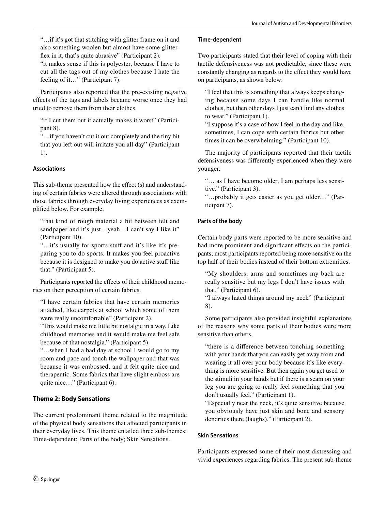"…if it's got that stitching with glitter frame on it and also something woolen but almost have some glitterfex in it, that's quite abrasive" (Participant 2).

"it makes sense if this is polyester, because I have to cut all the tags out of my clothes because I hate the feeling of it…" (Participant 7).

Participants also reported that the pre-existing negative efects of the tags and labels became worse once they had tried to remove them from their clothes.

"if I cut them out it actually makes it worst" (Participant 8).

"…if you haven't cut it out completely and the tiny bit that you left out will irritate you all day" (Participant 1).

#### **Associations**

This sub-theme presented how the effect (s) and understanding of certain fabrics were altered through associations with those fabrics through everyday living experiences as exemplifed below. For example,

"that kind of rough material a bit between felt and sandpaper and it's just...yeah...I can't say I like it" (Participant 10).

"...it's usually for sports stuff and it's like it's preparing you to do sports. It makes you feel proactive because it is designed to make you do active stuff like that." (Participant 5).

Participants reported the effects of their childhood memories on their perception of certain fabrics.

"I have certain fabrics that have certain memories attached, like carpets at school which some of them were really uncomfortable" (Participant 2).

"This would make me little bit nostalgic in a way. Like childhood memories and it would make me feel safe because of that nostalgia." (Participant 5).

"…when I had a bad day at school I would go to my room and pace and touch the wallpaper and that was because it was embossed, and it felt quite nice and therapeutic. Some fabrics that have slight emboss are quite nice…" (Participant 6).

#### **Theme 2: Body Sensations**

The current predominant theme related to the magnitude of the physical body sensations that afected participants in their everyday lives. This theme entailed three sub-themes: Time-dependent; Parts of the body; Skin Sensations.

#### **Time‑dependent**

Two participants stated that their level of coping with their tactile defensiveness was not predictable, since these were constantly changing as regards to the efect they would have on participants, as shown below:

"I feel that this is something that always keeps changing because some days I can handle like normal clothes, but then other days I just can't fnd any clothes to wear." (Participant 1).

"I suppose it's a case of how I feel in the day and like, sometimes, I can cope with certain fabrics but other times it can be overwhelming." (Participant 10).

The majority of participants reported that their tactile defensiveness was diferently experienced when they were younger.

"… as I have become older, I am perhaps less sensitive." (Participant 3).

"…probably it gets easier as you get older…" (Participant 7).

#### **Parts of the body**

Certain body parts were reported to be more sensitive and had more prominent and significant effects on the participants; most participants reported being more sensitive on the top half of their bodies instead of their bottom extremities.

"My shoulders, arms and sometimes my back are really sensitive but my legs I don't have issues with that." (Participant 6).

"I always hated things around my neck" (Participant 8).

Some participants also provided insightful explanations of the reasons why some parts of their bodies were more sensitive than others.

"there is a diference between touching something with your hands that you can easily get away from and wearing it all over your body because it's like everything is more sensitive. But then again you get used to the stimuli in your hands but if there is a seam on your leg you are going to really feel something that you don't usually feel." (Participant 1).

"Especially near the neck, it's quite sensitive because you obviously have just skin and bone and sensory dendrites there (laughs)." (Participant 2).

#### **Skin Sensations**

Participants expressed some of their most distressing and vivid experiences regarding fabrics. The present sub-theme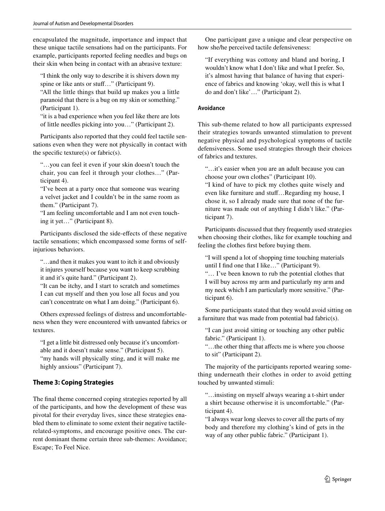encapsulated the magnitude, importance and impact that these unique tactile sensations had on the participants. For example, participants reported feeling needles and bugs on their skin when being in contact with an abrasive texture:

"I think the only way to describe it is shivers down my spine or like ants or stuff..." (Participant 9).

"All the little things that build up makes you a little paranoid that there is a bug on my skin or something." (Participant 1).

"it is a bad experience when you feel like there are lots of little needles picking into you…" (Participant 2).

Participants also reported that they could feel tactile sensations even when they were not physically in contact with the specific texture(s) or fabric(s).

"…you can feel it even if your skin doesn't touch the chair, you can feel it through your clothes…" (Participant 4).

"I've been at a party once that someone was wearing a velvet jacket and I couldn't be in the same room as them." (Participant 7).

"I am feeling uncomfortable and I am not even touching it yet…" (Participant 8).

Participants disclosed the side-efects of these negative tactile sensations; which encompassed some forms of selfinjurious behaviors.

"…and then it makes you want to itch it and obviously it injures yourself because you want to keep scrubbing it and it's quite hard." (Participant 2).

"It can be itchy, and I start to scratch and sometimes I can cut myself and then you lose all focus and you can't concentrate on what I am doing." (Participant 6).

Others expressed feelings of distress and uncomfortableness when they were encountered with unwanted fabrics or textures.

"I get a little bit distressed only because it's uncomfortable and it doesn't make sense." (Participant 5). "my hands will physically sting, and it will make me

highly anxious" (Participant 7).

#### **Theme 3: Coping Strategies**

The fnal theme concerned coping strategies reported by all of the participants, and how the development of these was pivotal for their everyday lives, since these strategies enabled them to eliminate to some extent their negative tactilerelated-symptoms, and encourage positive ones. The current dominant theme certain three sub-themes: Avoidance; Escape; To Feel Nice.

One participant gave a unique and clear perspective on how she/he perceived tactile defensiveness:

"If everything was cottony and bland and boring, I wouldn't know what I don't like and what I prefer. So, it's almost having that balance of having that experience of fabrics and knowing 'okay, well this is what I do and don't like'…" (Participant 2).

#### **Avoidance**

This sub-theme related to how all participants expressed their strategies towards unwanted stimulation to prevent negative physical and psychological symptoms of tactile defensiveness. Some used strategies through their choices of fabrics and textures.

"…it's easier when you are an adult because you can choose your own clothes" (Participant 10).

"I kind of have to pick my clothes quite wisely and even like furniture and stuf…Regarding my house, I chose it, so I already made sure that none of the furniture was made out of anything I didn't like." (Participant 7).

Participants discussed that they frequently used strategies when choosing their clothes, like for example touching and feeling the clothes frst before buying them.

"I will spend a lot of shopping time touching materials until I fnd one that I like…" (Participant 9).

"… I've been known to rub the potential clothes that I will buy across my arm and particularly my arm and my neck which I am particularly more sensitive." (Participant 6).

Some participants stated that they would avoid sitting on a furniture that was made from potential bad fabric(s).

"I can just avoid sitting or touching any other public fabric." (Participant 1).

"…the other thing that afects me is where you choose to sit" (Participant 2).

The majority of the participants reported wearing something underneath their clothes in order to avoid getting touched by unwanted stimuli:

"…insisting on myself always wearing a t-shirt under a shirt because otherwise it is uncomfortable." (Participant 4).

"I always wear long sleeves to cover all the parts of my body and therefore my clothing's kind of gets in the way of any other public fabric." (Participant 1).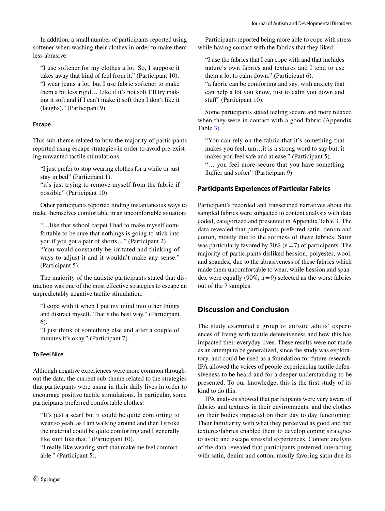In addition, a small number of participants reported using softener when washing their clothes in order to make them less abrasive:

"I use softener for my clothes a lot. So, I suppose it takes away that kind of feel from it." (Participant 10). "I wear jeans a lot, but I use fabric softener to make them a bit less rigid… Like if it's not soft I'll try making it soft and if I can't make it soft then I don't like it (laughs)." (Participant 9).

#### **Escape**

This sub-theme related to how the majority of participants reported using escape strategies in order to avoid pre-existing unwanted tactile stimulations.

"I just prefer to stop wearing clothes for a while or just stay in bed" (Participant 1).

"it's just trying to remove myself from the fabric if possible" (Participant 10).

Other participants reported fnding instantaneous ways to make themselves comfortable in an uncomfortable situation:

"…like that school carpet I had to make myself comfortable to be sure that nothings is going to stick into you if you got a pair of shorts…" (Participant 2). "You would constantly be irritated and thinking of ways to adjust it and it wouldn't make any sense." (Participant 5).

The majority of the autistic participants stated that distraction was one of the most efective strategies to escape an unpredictably negative tactile stimulation:

"I cope with it when I put my mind into other things and distract myself. That's the best way." (Participant 6).

"I just think of something else and after a couple of minutes it's okay." (Participant 7).

#### **To Feel Nice**

Although negative experiences were more common throughout the data, the current sub-theme related to the strategies that participants were using in their daily lives in order to encourage positive tactile stimulations. In particular, some participants preferred comfortable clothes:

"It's just a scarf but it could be quite comforting to wear so yeah, as I am walking around and then I stroke the material could be quite comforting and I generally like stuff like that." (Participant 10).

"I really like wearing stuff that make me feel comfortable." (Participant 5).

Participants reported being more able to cope with stress while having contact with the fabrics that they liked:

"I use the fabrics that I can cope with and that includes nature's own fabrics and textures and I tend to use them a lot to calm down." (Participant 6). "a fabric can be comforting and say, with anxiety that can help a lot you know, just to calm you down and stuff" (Participant 10).

Some participants stated feeling secure and more relaxed when they were in contact with a good fabric (Appendix Table 3).

"You can rely on the fabric that it's something that makes you feel, um…it is a strong word to say but, it makes you feel safe and at ease." (Participant 5). "… you feel more secure that you have something fluffier and softer" (Participant 9).

#### **Participants Experiences of Particular Fabrics**

Participant's recorded and transcribed narratives about the sampled fabrics were subjected to content analysis with data coded, categorized and presented in Appendix Table 3. The data revealed that participants preferred satin, denim and cotton, mostly due to the softness of these fabrics. Satin was particularly favored by  $70\%$  (n = 7) of participants. The majority of participants disliked hession, polyester, wool, and spandex, due to the abrasiveness of these fabrics which made them uncomfortable to wear, while hession and spandex were equally (90%;  $n=9$ ) selected as the worst fabrics out of the 7 samples.

#### **Discussion and Conclusion**

The study examined a group of autistic adults' experiences of living with tactile defensiveness and how this has impacted their everyday lives. These results were not made as an attempt to be generalized, since the study was exploratory, and could be used as a foundation for future research. IPA allowed the voices of people experiencing tactile defensiveness to be heard and for a deeper understanding to be presented. To our knowledge, this is the frst study of its kind to do this.

IPA analysis showed that participants were very aware of fabrics and textures in their environments, and the clothes on their bodies impacted on their day to day functioning. Their familiarity with what they perceived as good and bad textures/fabrics enabled them to develop coping strategies to avoid and escape stressful experiences. Content analysis of the data revealed that participants preferred interacting with satin, denim and cotton, mostly favoring satin due its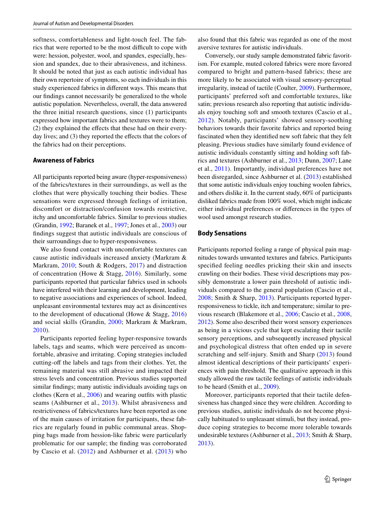softness, comfortableness and light-touch feel. The fabrics that were reported to be the most difficult to cope with were: hession, polyester, wool, and spandex, especially, hession and spandex, due to their abrasiveness, and itchiness. It should be noted that just as each autistic individual has their own repertoire of symptoms, so each individuals in this study experienced fabrics in diferent ways. This means that our fndings cannot necessarily be generalized to the whole autistic population. Nevertheless, overall, the data answered the three initial research questions, since (1) participants expressed how important fabrics and textures were to them; (2) they explained the efects that these had on their everyday lives; and (3) they reported the effects that the colors of the fabrics had on their perceptions.

#### **Awareness of Fabrics**

All participants reported being aware (hyper-responsiveness) of the fabrics/textures in their surroundings, as well as the clothes that were physically touching their bodies. These sensations were expressed through feelings of irritation, discomfort or distraction/confusion towards restrictive, itchy and uncomfortable fabrics. Similar to previous studies (Grandin, 1992; Baranek et al., 1997; Jones et al., 2003) our fndings suggest that autistic individuals are conscious of their surroundings due to hyper-responsiveness.

We also found contact with uncomfortable textures can cause autistic individuals increased anxiety (Markram & Markram, 2010; South & Rodgers, 2017) and distraction of concentration (Howe & Stagg, 2016). Similarly, some participants reported that particular fabrics used in schools have interfered with their learning and development, leading to negative associations and experiences of school. Indeed, unpleasant environmental textures may act as disincentives to the development of educational (Howe & Stagg, 2016) and social skills (Grandin, 2000; Markram & Markram, 2010).

Participants reported feeling hyper-responsive towards labels, tags and seams, which were perceived as uncomfortable, abrasive and irritating. Coping strategies included cutting-off the labels and tags from their clothes. Yet, the remaining material was still abrasive and impacted their stress levels and concentration. Previous studies supported similar fndings; many autistic individuals avoiding tags on clothes (Kern et al., 2006) and wearing outfts with plastic seams (Ashburner et al., 2013). Whilst abrasiveness and restrictiveness of fabrics/textures have been reported as one of the main causes of irritation for participants, these fabrics are regularly found in public communal areas. Shopping bags made from hession-like fabric were particularly problematic for our sample; the fnding was corroborated by Cascio et al. (2012) and Ashburner et al. (2013) who also found that this fabric was regarded as one of the most aversive textures for autistic individuals.

Conversely, our study sample demonstrated fabric favoritism. For example, muted colored fabrics were more favored compared to bright and pattern-based fabrics; these are more likely to be associated with visual sensory-perceptual irregularity, instead of tactile (Coulter, 2009). Furthermore, participants' preferred soft and comfortable textures, like satin; previous research also reporting that autistic individuals enjoy touching soft and smooth textures (Cascio et al., 2012). Notably, participants' showed sensory-soothing behaviors towards their favorite fabrics and reported being fascinated when they identifed new soft fabric that they felt pleasing. Previous studies have similarly found evidence of autistic individuals constantly sitting and holding soft fabrics and textures (Ashburner et al., 2013; Dunn, 2007; Lane et al., 2011). Importantly, individual preferences have not been disregarded, since Ashburner et al. (2013) established that some autistic individuals enjoy touching woolen fabrics, and others dislike it. In the current study, 60% of participants disliked fabrics made from 100% wool, which might indicate either individual preferences or diferences in the types of wool used amongst research studies.

#### **Body Sensations**

Participants reported feeling a range of physical pain magnitudes towards unwanted textures and fabrics. Participants specifed feeling needles pricking their skin and insects crawling on their bodies. These vivid descriptions may possibly demonstrate a lower pain threshold of autistic individuals compared to the general population (Cascio et al., 2008; Smith & Sharp, 2013). Participants reported hyperresponsiveness to tickle, itch and temperature; similar to previous research (Blakemore et al., 2006; Cascio et al., 2008, 2012). Some also described their worst sensory experiences as being in a vicious cycle that kept escalating their tactile sensory perceptions, and subsequently increased physical and psychological distress that often ended up in severe scratching and self-injury. Smith and Sharp (2013) found almost identical descriptions of their participants' experiences with pain threshold. The qualitative approach in this study allowed the raw tactile feelings of autistic individuals to be heard (Smith et al., 2009).

Moreover, participants reported that their tactile defensiveness has changed since they were children. According to previous studies, autistic individuals do not become physically habituated to unpleasant stimuli, but they instead, produce coping strategies to become more tolerable towards undesirable textures (Ashburner et al., 2013; Smith & Sharp, 2013).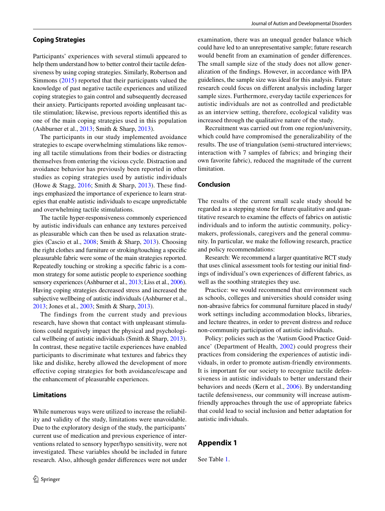#### **Coping Strategies**

Participants' experiences with several stimuli appeared to help them understand how to better control their tactile defensiveness by using coping strategies. Similarly, Robertson and Simmons (2015) reported that their participants valued the knowledge of past negative tactile experiences and utilized coping strategies to gain control and subsequently decreased their anxiety. Participants reported avoiding unpleasant tactile stimulation; likewise, previous reports identifed this as one of the main coping strategies used in this population (Ashburner et al., 2013; Smith & Sharp, 2013).

The participants in our study implemented avoidance strategies to escape overwhelming stimulations like removing all tactile stimulations from their bodies or distracting themselves from entering the vicious cycle. Distraction and avoidance behavior has previously been reported in other studies as coping strategies used by autistic individuals (Howe & Stagg, 2016; Smith & Sharp, 2013). These fndings emphasized the importance of experience to learn strategies that enable autistic individuals to escape unpredictable and overwhelming tactile stimulations.

The tactile hyper-responsiveness commonly experienced by autistic individuals can enhance any textures perceived as pleasurable which can then be used as relaxation strategies (Cascio et al., 2008; Smith & Sharp, 2013). Choosing the right clothes and furniture or stroking/touching a specifc pleasurable fabric were some of the main strategies reported. Repeatedly touching or stroking a specifc fabric is a common strategy for some autistic people to experience soothing sensory experiences (Ashburner et al., 2013; Liss et al., 2006). Having coping strategies decreased stress and increased the subjective wellbeing of autistic individuals (Ashburner et al., 2013; Jones et al., 2003; Smith & Sharp, 2013).

The findings from the current study and previous research, have shown that contact with unpleasant stimulations could negatively impact the physical and psychological wellbeing of autistic individuals (Smith & Sharp, 2013). In contrast, these negative tactile experiences have enabled participants to discriminate what textures and fabrics they like and dislike, hereby allowed the development of more efective coping strategies for both avoidance/escape and the enhancement of pleasurable experiences.

#### **Limitations**

While numerous ways were utilized to increase the reliability and validity of the study, limitations were unavoidable. Due to the exploratory design of the study, the participants' current use of medication and previous experience of interventions related to sensory hyper/hypo sensitivity, were not investigated. These variables should be included in future research. Also, although gender diferences were not under examination, there was an unequal gender balance which could have led to an unrepresentative sample; future research would beneft from an examination of gender diferences. The small sample size of the study does not allow generalization of the fndings. However, in accordance with IPA guidelines, the sample size was ideal for this analysis. Future research could focus on diferent analysis including larger sample sizes. Furthermore, everyday tactile experiences for autistic individuals are not as controlled and predictable as an interview setting, therefore, ecological validity was increased through the qualitative nature of the study.

Recruitment was carried out from one region/university, which could have compromised the generalizability of the results. The use of triangulation (semi-structured interviews; interaction with 7 samples of fabrics; and bringing their own favorite fabric), reduced the magnitude of the current limitation.

#### **Conclusion**

The results of the current small scale study should be regarded as a stepping stone for future qualitative and quantitative research to examine the efects of fabrics on autistic individuals and to inform the autistic community, policymakers, professionals, caregivers and the general community. In particular, we make the following research, practice and policy recommendations:

Research: We recommend a larger quantitative RCT study that uses clinical assessment tools for testing our initial fndings of individual's own experiences of diferent fabrics, as well as the soothing strategies they use.

Practice: we would recommend that environment such as schools, colleges and universities should consider using non-abrasive fabrics for communal furniture placed in study/ work settings including accommodation blocks, libraries, and lecture theatres, in order to prevent distress and reduce non-community participation of autistic individuals.

Policy: policies such as the 'Autism Good Practice Guidance' (Department of Health, 2002) could progress their practices from considering the experiences of autistic individuals, in order to promote autism-friendly environments. It is important for our society to recognize tactile defensiveness in autistic individuals to better understand their behaviors and needs (Kern et al., 2006). By understanding tactile defensiveness, our community will increase autismfriendly approaches through the use of appropriate fabrics that could lead to social inclusion and better adaptation for autistic individuals.

#### **Appendix 1**

See Table 1.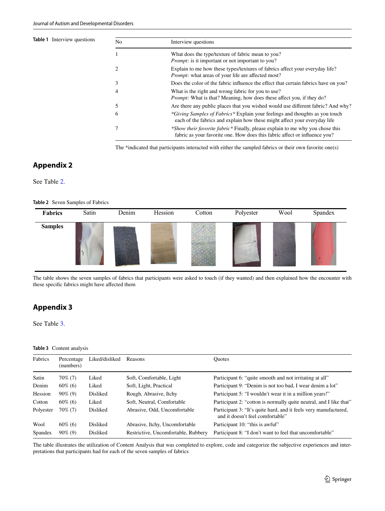#### **Table 1** Interview questions

| N <sub>o</sub> | Interview questions                                                                                                                                         |  |
|----------------|-------------------------------------------------------------------------------------------------------------------------------------------------------------|--|
|                | What does the type/texture of fabric mean to you?<br><i>Prompt:</i> is it important or not important to you?                                                |  |
| 2              | Explain to me how these types/textures of fabrics affect your everyday life?<br><i>Prompt:</i> what areas of your life are affected most?                   |  |
| 3              | Does the color of the fabric influence the effect that certain fabrics have on you?                                                                         |  |
| $\overline{4}$ | What is the right and wrong fabric for you to use?<br><i>Prompt:</i> What is that? Meaning, how does these affect you, if they do?                          |  |
| 5              | Are there any public places that you wished would use different fabric? And why?                                                                            |  |
| 6              | *Giving Samples of Fabrics* Explain your feelings and thoughts as you touch<br>each of the fabrics and explain how these might affect your everyday life    |  |
|                | *Show their favorite fabric* Finally, please explain to me why you chose this<br>fabric as your favorite one. How does this fabric affect or influence you? |  |

The \*indicated that participants interacted with either the sampled fabrics or their own favorite one(s)

#### **Appendix 2**

See Table 2.

**Table 2** Seven Samples of Fabrics

| Fabrics        | Satin | Denim | Hession | Cotton | Polyester | Wool | Spandex |
|----------------|-------|-------|---------|--------|-----------|------|---------|
| <b>Samples</b> |       |       |         |        |           |      |         |

The table shows the seven samples of fabrics that participants were asked to touch (if they wanted) and then explained how the encounter with these specifc fabrics might have afected them

#### **Appendix 3**

See Table 3.

#### **Table 3** Content analysis

| Fabrics   | Percentage<br>(numbers) | Liked/disliked  | Reasons                             | <b>Ouotes</b>                                                                                        |
|-----------|-------------------------|-----------------|-------------------------------------|------------------------------------------------------------------------------------------------------|
| Satin     | $70\%$ (7)              | Liked           | Soft, Comfortable, Light            | Participant 6: "quite smooth and not irritating at all"                                              |
| Denim     | $60\%$ (6)              | Liked           | Soft, Light, Practical              | Participant 9: "Denim is not too bad, I wear denim a lot"                                            |
| Hession   | $90\%$ (9)              | Disliked        | Rough, Abrasive, Itchy              | Participant 5: "I wouldn't wear it in a million years!"                                              |
| Cotton    | $60\%$ (6)              | Liked           | Soft, Neutral, Comfortable          | Participant 2: "cotton is normally quite neutral, and I like that"                                   |
| Polyester | $70\%$ (7)              | <b>Disliked</b> | Abrasive, Odd, Uncomfortable        | Participant 3: "It's quite hard, and it feels very manufactured,<br>and it doesn't feel comfortable" |
| Wool      | $60\%$ (6)              | <b>Disliked</b> | Abrasive, Itchy, Uncomfortable      | Participant 10: "this is awful"                                                                      |
| Spandex   | $90\%$ (9)              | Disliked        | Restrictive, Uncomfortable, Rubbery | Participant 8: "I don't want to feel that uncomfortable"                                             |

The table illustrates the utilization of Content Analysis that was completed to explore, code and categorize the subjective experiences and interpretations that participants had for each of the seven samples of fabrics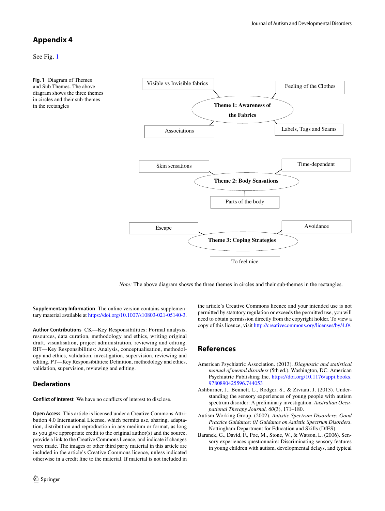#### **Appendix 4**

See Fig. 1

**Fig. 1** Diagram of Themes and Sub Themes. The above diagram shows the three themes in circles and their sub-themes in the rectangles



*Note:* The above diagram shows the three themes in circles and their sub-themes in the rectangles.

**Supplementary Information** The online version contains supplementary material available at<https://doi.org/10.1007/s10803-021-05140-3>.

**Author Contributions** CK—Key Responsibilities: Formal analysis, resources, data curation, methodology and ethics, writing original draft, visualisation, project administration, reviewing and editing. RFJ—Key Responsibilities: Analysis, conceptualisation, methodology and ethics, validation, investigation, supervision, reviewing and editing. PT—Key Responsibilities: Defnition, methodology and ethics, validation, supervision, reviewing and editing.

#### **Declarations**

**Conflict of interest** We have no conficts of interest to disclose.

**Open Access** This article is licensed under a Creative Commons Attribution 4.0 International License, which permits use, sharing, adaptation, distribution and reproduction in any medium or format, as long as you give appropriate credit to the original author(s) and the source, provide a link to the Creative Commons licence, and indicate if changes were made. The images or other third party material in this article are included in the article's Creative Commons licence, unless indicated otherwise in a credit line to the material. If material is not included in the article's Creative Commons licence and your intended use is not permitted by statutory regulation or exceeds the permitted use, you will need to obtain permission directly from the copyright holder. To view a copy of this licence, visit<http://creativecommons.org/licenses/by/4.0/>.

#### **References**

- American Psychiatric Association. (2013). *Diagnostic and statistical manual of mental disorders* (5th ed.). Washington, DC: American Psychiatric Publishing Inc. [https://doi.org/10.1176/appi.books.](https://doi.org/10.1176/appi.books.9780890425596.744053) [9780890425596.744053](https://doi.org/10.1176/appi.books.9780890425596.744053)
- Ashburner, J., Bennett, L., Rodger, S., & Ziviani, J. (2013). Understanding the sensory experiences of young people with autism spectrum disorder: A preliminary investigation. *Australian Occupational Therapy Journal, 60*(3), 171–180.
- Autism Working Group. (2002). *Autistic Spectrum Disorders: Good Practice Guidance: 01 Guidance on Autistic Spectrum Disorders*. Nottingham:Department for Education and Skills (DfES).
- Baranek, G., David, F., Poe, M., Stone, W., & Watson, L. (2006). Sensory experiences questionnaire: Discriminating sensory features in young children with autism, developmental delays, and typical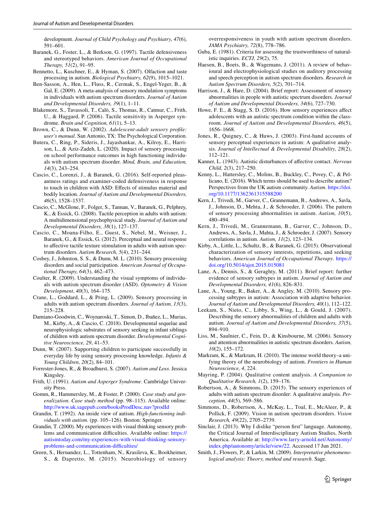development. *Journal of Child Psychology and Psychiatry, 47*(6), 591–601.

- Baranek, G., Foster, L., & Berkson, G. (1997). Tactile defensiveness and stereotyped behaviors. *American Journal of Occupational Therapy, 51*(2), 91–95.
- Bennetto, L., Kuschner, E., & Hyman, S. (2007). Olfaction and taste processing in autism. *Biological Psychiatry, 62*(9), 1015–1021.
- Ben-Sasson, A., Hen, L., Fluss, R., Cermak, S., Engel-Yeger, B., & Gal, E. (2009). A meta-analysis of sensory modulation symptoms in individuals with autism spectrum disorders. *Journal of Autism and Developmental Disorders, 39*(1), 1–11.
- Blakemore, S., Tavassoli, T., Calò, S., Thomas, R., Catmur, C., Frith, U., & Haggard, P. (2006). Tactile sensitivity in Asperger syndrome. *Brain and Cognition, 61*(1), 5–13.
- Brown, C., & Dunn, W. (2002). *Adolescent-adult sensory profle: user's manual*. San Antonio, TX: The Psychological Corporation.
- Butera, C., Ring, P., Sideris, J., Jayashankar, A., Kilroy, E., Harrison, L., & Aziz-Zadeh, L. (2020). Impact of sensory processing on school performance outcomes in high functioning individuals with autism spectrum disorder. *Mind, Brain, and Education, 14*(3), 243–254.
- Cascio, C., Lorenzi, J., & Baranek, G. (2016). Self-reported pleasantness ratings and examiner-coded defensiveness in response to touch in children with ASD: Efects of stimulus material and bodily location. *Journal of Autism and Developmental Disorders, 46*(5), 1528–1537.
- Cascio, C., McGlone, F., Folger, S., Tannan, V., Baranek, G., Pelphrey, K., & Essick, G. (2008). Tactile perception in adults with autism: A multidimensional psychophysical study. *Journal of Autism and Developmental Disorders, 38*(1), 127–137.
- Cascio, C., Moana-Filho, E., Guest, S., Nebel, M., Weisner, J., Baranek, G., & Essick, G. (2012). Perceptual and neural response to affective tactile texture stimulation in adults with autism spectrum disorders. *Autism Research, 5*(4), 231–244.
- Cosbey, J., Johnston, S. S., & Dunn, M. L. (2010). Sensory processing disorders and social participation. *American Journal of Occupational Therapy, 64*(3), 462–473.
- Coulter, R. (2009). Understanding the visual symptoms of individuals with autism spectrum disorder (ASD). *Optometry & Vision Development*, *40*(3), 164–175.
- Crane, L., Goddard, L., & Pring, L. (2009). Sensory processing in adults with autism spectrum disorders. *Journal of Autism, 13*(3), 215–228.
- Damiano-Goodwin, C., Woynaroski, T., Simon, D., Ibañez, L., Murias, M., Kirby, A., & Cascio, C. (2018). Developmental sequelae and neurophysiologic substrates of sensory seeking in infant siblings of children with autism spectrum disorder. *Developmental Cognitive Neuroscience, 29*, 41–53.
- Dunn, W. (2007). Supporting children to participate successfully in everyday life by using sensory processing knowledge. *Infants & Young Children, 20*(2), 84–101.
- Forrester-Jones, R., & Broadhurst, S. (2007). *Autism and Loss*. Jessica Kingsley.
- Frith, U. (1991). *Autism and Asperger Syndrome*. Cambridge University Press.
- Gomm, R., Hammersley, M., & Foster, P. (2000). *Case study and generalization. Case study method* (pp. 98–115). Available online: <http://www.uk.sagepub.com/booksProdDesc.nav?prodId>
- Grandin, T. (1992). An inside view of autism. *High-functioning individuals with autism.* (pp. 105–126). Boston: Springer.
- Grandin, T. (2000). My experiences with visual thinking sensory problems and communication difficulties. Available online: [https://](https://autismtoday.com/my-experiences-with-visual-thinking-sensory-problems-and-communication-difficulties/) [autismtoday.com/my-experiences-with-visual-thinking-sensory](https://autismtoday.com/my-experiences-with-visual-thinking-sensory-problems-and-communication-difficulties/)problems-and-communication-difficulties/
- Green, S., Hernandez, L., Tottenham, N., Krasileva, K., Bookheimer, S., & Dapretto, M. (2015). Neurobiology of sensory

overresponsiveness in youth with autism spectrum disorders. *JAMA Psychiatry, 72*(8), 778–786.

- Guba, E. (1981). Criteria for assessing the trustworthiness of naturalistic inquiries. *ECTJ, 29*(2), 75.
- Haesen, B., Boets, B., & Wagemans, J. (2011). A review of behavioural and electrophysiological studies on auditory processing and speech perception in autism spectrum disorders. *Research in Autism Spectrum Disorders, 5*(2), 701–714.
- Harrison, J., & Hare, D. (2004). Brief report: Assessment of sensory abnormalities in people with autistic spectrum disorders. *Journal of Autism and Developmental Disorders, 34*(6), 727–730.
- Howe, F. E., & Stagg, S. D. (2016). How sensory experiences afect adolescents with an autistic spectrum condition within the classroom. *Journal of Autism and Developmental Disorders, 46*(5), 1656–1668.
- Jones, R., Quigney, C., & Huws, J. (2003). First-hand accounts of sensory perceptual experiences in autism: A qualitative analysis. *Journal of Intellectual & Developmental Disability, 28*(2), 112–121.
- Kanner, L. (1943). Autistic disturbances of afective contact. *Nervous Child, 2*(3), 217–250.
- Kenny, L., Hattersley, C., Molins, B., Buckley, C., Povey, C., & Pellicano, E. (2016). Which terms should be used to describe autism? Perspectives from the UK autism community. *Autism*. [https://doi.](https://doi.org/10.1177/1362361315588200) [org/10.1177/1362361315588200](https://doi.org/10.1177/1362361315588200)
- Kern, J., Trivedi, M., Garver, C., Grannemann, B., Andrews, A., Savla, J., Johnson, D., Mehta, J., & Schroeder, J. (2006). The pattern of sensory processing abnormalities in autism. *Autism, 10*(5), 480–494.
- Kern, J., Trivedi, M., Grannemann, B., Garver, C., Johnson, D., Andrews, A., Savla, J., Mahta, J., & Schroeder, J. (2007). Sensory correlations in autism. *Autism, 11*(2), 123–134.
- Kirby, A., Little, L., Schultz, B., & Baranek, G. (2015). Observational characterization of sensory interests, repetitions, and seeking behaviors. *American Journal of Occupational Therapy*. [https://](https://doi.org/10.5014/ajot.2015.015081) [doi.org/10.5014/ajot.2015.015081](https://doi.org/10.5014/ajot.2015.015081)
- Lane, A., Dennis, S., & Geraghty, M. (2011). Brief report: further evidence of sensory subtypes in autism. *Journal of Autism and Developmental Disorders, 41*(6), 826–831.
- Lane, A., Young, R., Baker, A., & Angley, M. (2010). Sensory processing subtypes in autism: Association with adaptive behavior. *Journal of Autism and Developmental Disorders, 40*(1), 112–122.
- Leekam, S., Nieto, C., Libby, S., Wing, L., & Gould, J. (2007). Describing the sensory abnormalities of children and adults with autism. *Journal of Autism and Developmental Disorders, 37*(5), 894–910.
- Liss, M., Saulnier, C., Fein, D., & Kinsbourne, M. (2006). Sensory and attention abnormalities in autistic spectrum disorders. *Autism, 10*(2), 155–172.
- Markram, K., & Markram, H. (2010). The intense world theory–a unifying theory of the neurobiology of autism. *Frontiers in Human Neuroscience, 4*, 224.
- Mayring, P. (2004). Qualitative content analysis. *A Companion to Qualitative Research, 1*(2), 159–176.
- Robertson, A., & Simmons, D. (2015). The sensory experiences of adults with autism spectrum disorder: A qualitative analysis. *Perception, 44*(5), 569–586.
- Simmons, D., Robertson, A., McKay, L., Toal, E., McAleer, P., & Pollick, F. (2009). Vision in autism spectrum disorders. *Vision Research, 49*(22), 2705–2739.
- Sinclair, J. (2013). Why I dislike "person frst" language. Autonomy, the Critical Journal of Interdisciplinary Autism Studies, North America. Available at: [http://www.larry-arnold.net/Autonomy/](http://www.larry-arnold.net/Autonomy/index.php/autonomy/article/view/22) [index.php/autonomy/article/view/22.](http://www.larry-arnold.net/Autonomy/index.php/autonomy/article/view/22) Accessed 17 Jun 2021.
- Smith, J., Flowers, P., & Larkin, M. (2009). *Interpretative phenomenological analysis: Theory, method and research*. Sage.